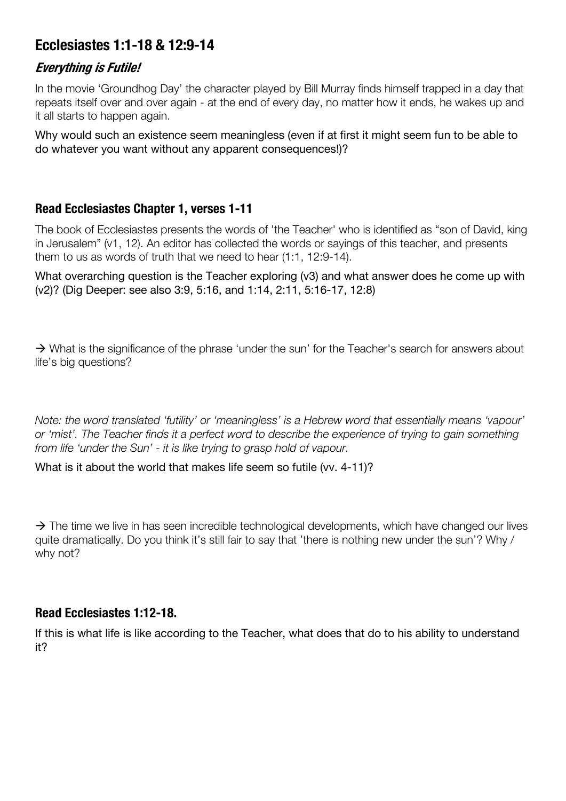# **Ecclesiastes 1:1-18 & 12:9-14**

## **Everything is Futile!**

In the movie 'Groundhog Day' the character played by Bill Murray finds himself trapped in a day that repeats itself over and over again - at the end of every day, no matter how it ends, he wakes up and it all starts to happen again.

Why would such an existence seem meaningless (even if at first it might seem fun to be able to do whatever you want without any apparent consequences!)?

## **Read Ecclesiastes Chapter 1, verses 1-11**

The book of Ecclesiastes presents the words of 'the Teacher' who is identified as "son of David, king in Jerusalem" (v1, 12). An editor has collected the words or sayings of this teacher, and presents them to us as words of truth that we need to hear (1:1, 12:9-14).

What overarching question is the Teacher exploring (v3) and what answer does he come up with (v2)? (Dig Deeper: see also 3:9, 5:16, and 1:14, 2:11, 5:16-17, 12:8)

 $\rightarrow$  What is the significance of the phrase 'under the sun' for the Teacher's search for answers about life's big questions?

*Note: the word translated 'futility' or 'meaningless' is a Hebrew word that essentially means 'vapour' or 'mist'. The Teacher finds it a perfect word to describe the experience of trying to gain something from life 'under the Sun' - it is like trying to grasp hold of vapour.*

What is it about the world that makes life seem so futile (vv. 4-11)?

 $\rightarrow$  The time we live in has seen incredible technological developments, which have changed our lives quite dramatically. Do you think it's still fair to say that 'there is nothing new under the sun'? Why / why not?

#### **Read Ecclesiastes 1:12-18.**

If this is what life is like according to the Teacher, what does that do to his ability to understand it?